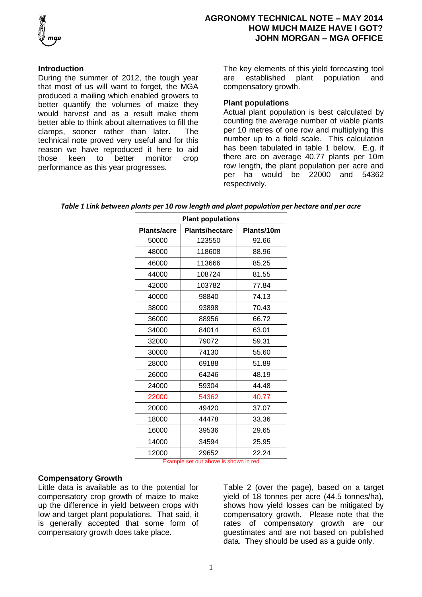

### **Introduction**

During the summer of 2012, the tough year that most of us will want to forget, the MGA produced a mailing which enabled growers to better quantify the volumes of maize they would harvest and as a result make them better able to think about alternatives to fill the clamps, sooner rather than later. The technical note proved very useful and for this reason we have reproduced it here to aid those keen to better monitor crop performance as this year progresses.

The key elements of this yield forecasting tool are established plant population and compensatory growth.

# **Plant populations**

Actual plant population is best calculated by counting the average number of viable plants per 10 metres of one row and multiplying this number up to a field scale. This calculation has been tabulated in table 1 below. E.g. if there are on average 40.77 plants per 10m row length, the plant population per acre and per ha would be 22000 and 54362 respectively.

| Table 1 Link between plants per 10 row length and plant population per hectare and per acre |  |  |  |
|---------------------------------------------------------------------------------------------|--|--|--|
|---------------------------------------------------------------------------------------------|--|--|--|

| <b>Plant populations</b> |                       |            |  |  |
|--------------------------|-----------------------|------------|--|--|
| <b>Plants/acre</b>       | <b>Plants/hectare</b> | Plants/10m |  |  |
| 50000                    | 123550                | 92.66      |  |  |
| 48000                    | 118608                | 88.96      |  |  |
| 46000                    | 113666                | 85.25      |  |  |
| 44000                    | 108724                | 81.55      |  |  |
| 42000                    | 103782                | 77.84      |  |  |
| 40000                    | 98840                 | 74.13      |  |  |
| 38000                    | 93898                 | 70.43      |  |  |
| 36000                    | 88956                 | 66.72      |  |  |
| 34000                    | 84014                 | 63.01      |  |  |
| 32000                    | 79072                 | 59.31      |  |  |
| 30000                    | 74130                 | 55.60      |  |  |
| 28000                    | 69188                 | 51.89      |  |  |
| 26000                    | 64246                 | 48.19      |  |  |
| 24000                    | 59304                 | 44.48      |  |  |
| 22000                    | 54362                 | 40.77      |  |  |
| 20000                    | 49420                 | 37.07      |  |  |
| 18000                    | 44478                 | 33.36      |  |  |
| 16000                    | 39536                 | 29.65      |  |  |
| 14000                    | 34594                 | 25.95      |  |  |
| 12000                    | 29652                 | 22.24      |  |  |

Example set out above is shown in red

### **Compensatory Growth**

Little data is available as to the potential for compensatory crop growth of maize to make up the difference in yield between crops with low and target plant populations. That said, it is generally accepted that some form of compensatory growth does take place.

Table 2 (over the page), based on a target yield of 18 tonnes per acre (44.5 tonnes/ha), shows how yield losses can be mitigated by compensatory growth. Please note that the rates of compensatory growth are our guestimates and are not based on published data. They should be used as a guide only.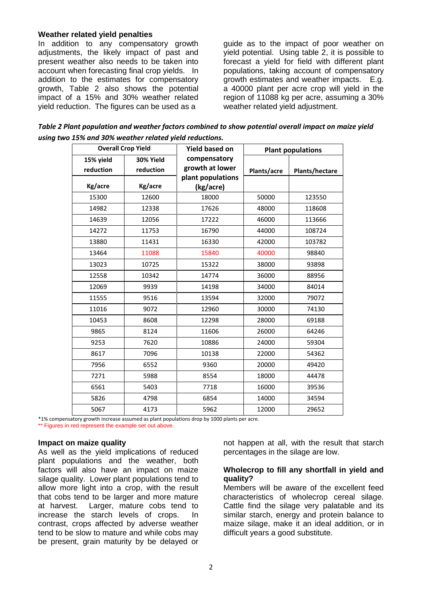# **Weather related yield penalties**

In addition to any compensatory growth adjustments, the likely impact of past and present weather also needs to be taken into account when forecasting final crop yields. In addition to the estimates for compensatory growth, Table 2 also shows the potential impact of a 15% and 30% weather related yield reduction. The figures can be used as a

guide as to the impact of poor weather on yield potential. Using table 2, it is possible to forecast a yield for field with different plant populations, taking account of compensatory growth estimates and weather impacts. E.g. a 40000 plant per acre crop will yield in the region of 11088 kg per acre, assuming a 30% weather related yield adjustment.

*Table 2 Plant population and weather factors combined to show potential overall impact on maize yield using two 15% and 30% weather related yield reductions.* 

| <b>Overall Crop Yield</b> |           | <b>Yield based on</b> | <b>Plant populations</b> |                       |
|---------------------------|-----------|-----------------------|--------------------------|-----------------------|
| 15% yield                 | 30% Yield | compensatory          |                          |                       |
| reduction                 | reduction | growth at lower       | Plants/acre              | <b>Plants/hectare</b> |
|                           |           | plant populations     |                          |                       |
| Kg/acre                   | Kg/acre   | (kg/acre)             |                          |                       |
| 15300                     | 12600     | 18000                 | 50000                    | 123550                |
| 14982                     | 12338     | 17626                 | 48000                    | 118608                |
| 14639                     | 12056     | 17222                 | 46000                    | 113666                |
| 14272                     | 11753     | 16790                 | 44000                    | 108724                |
| 13880                     | 11431     | 16330                 | 42000                    | 103782                |
| 13464                     | 11088     | 15840                 | 40000                    | 98840                 |
| 13023                     | 10725     | 15322                 | 38000                    | 93898                 |
| 12558                     | 10342     | 14774                 | 36000                    | 88956                 |
| 12069                     | 9939      | 14198                 | 34000                    | 84014                 |
| 11555                     | 9516      | 13594                 | 32000                    | 79072                 |
| 11016                     | 9072      | 12960                 | 30000                    | 74130                 |
| 10453                     | 8608      | 12298                 | 28000                    | 69188                 |
| 9865                      | 8124      | 11606                 | 26000                    | 64246                 |
| 9253                      | 7620      | 10886                 | 24000                    | 59304                 |
| 8617                      | 7096      | 10138                 | 22000                    | 54362                 |
| 7956                      | 6552      | 9360                  | 20000                    | 49420                 |
| 7271                      | 5988      | 8554                  | 18000                    | 44478                 |
| 6561                      | 5403      | 7718                  | 16000                    | 39536                 |
| 5826                      | 4798      | 6854                  | 14000                    | 34594                 |
| 5067                      | 4173      | 5962                  | 12000                    | 29652                 |

\*1% compensatory growth increase assumed as plant populations drop by 1000 plants per acre.

\*\* Figures in red represent the example set out above.

### **Impact on maize quality**

As well as the yield implications of reduced plant populations and the weather, both factors will also have an impact on maize silage quality. Lower plant populations tend to allow more light into a crop, with the result that cobs tend to be larger and more mature at harvest. Larger, mature cobs tend to increase the starch levels of crops. In contrast, crops affected by adverse weather tend to be slow to mature and while cobs may be present, grain maturity by be delayed or

not happen at all, with the result that starch percentages in the silage are low.

### **Wholecrop to fill any shortfall in yield and quality?**

Members will be aware of the excellent feed characteristics of wholecrop cereal silage. Cattle find the silage very palatable and its similar starch, energy and protein balance to maize silage, make it an ideal addition, or in difficult years a good substitute.